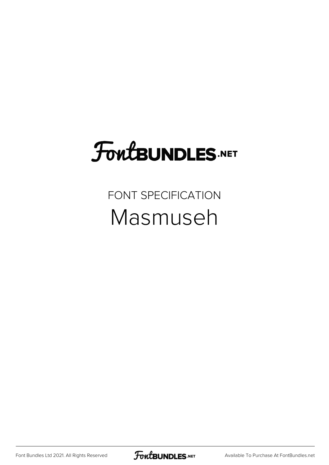## **FoutBUNDLES.NET**

FONT SPECIFICATION Masmuseh

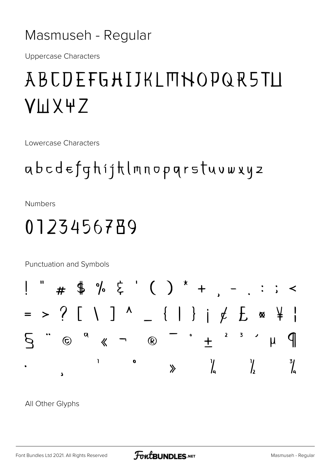#### Masmuseh - Regular

**Uppercase Characters** 

### ABCDEFGHIJKLMNOPQR5TLI **VLIX4Z**

**Lowercase Characters** 

#### abcdefghijhlmnopgrstuvwxyz

**Numbers** 

#### 0123456789

Punctuation and Symbols



All Other Glyphs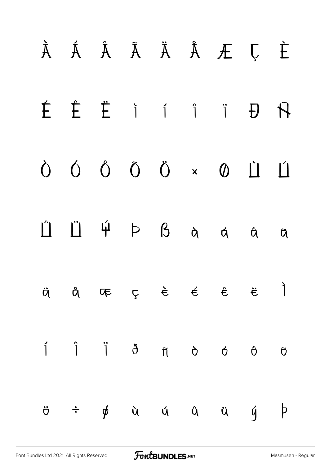# À Á Â Ã Ä Å Æ Ç È É Ê Ë Ì Í Î Ï Ð Ñ Ò Ó Ô Õ Ö × Ø Ù Ú  $\hat{H}$   $\hat{H}$   $\hat{P}$   $\hat{B}$  à á â ã  $\ddot{\theta}$  å æ ç è é  $\acute{\epsilon}$  ë  $\dot{\bar{\theta}}$ í î ï ð ñ ò ó ô õ ö ÷ ø ù ú û ü ý þ